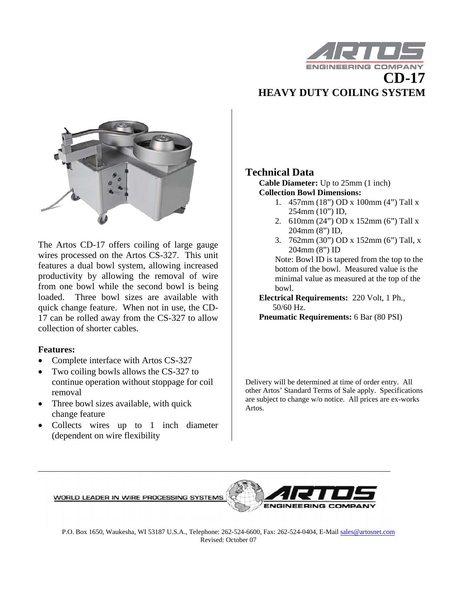

## **HEAVY DUTY COILING SYSTEM**



The Artos CD-17 offers coiling of large gauge wires processed on the Artos CS-327. This unit features a dual bowl system, allowing increased productivity by allowing the removal of wire from one bowl while the second bowl is being loaded. Three bowl sizes are available with quick change feature. When not in use, the CD-17 can be rolled away from the CS-327 to allow collection of shorter cables.

## **Features:**

- Complete interface with Artos CS-327
- Two coiling bowls allows the CS-327 to continue operation without stoppage for coil removal
- Three bowl sizes available, with quick change feature
- Collects wires up to 1 inch diameter (dependent on wire flexibility

## **Technical Data**

**Cable Diameter:** Up to 25mm (1 inch) **Collection Bowl Dimensions:** 

- 1. 457mm (18") OD x 100mm (4") Tall x 254mm (10") ID,
- 2. 610mm (24") OD x 152mm (6") Tall x 204mm (8") ID,
- 3. 762mm (30") OD x 152mm (6") Tall, x 204mm (8") ID

Note: Bowl ID is tapered from the top to the bottom of the bowl. Measured value is the minimal value as measured at the top of the bowl.

**Electrical Requirements:** 220 Volt, 1 Ph., 50/60 Hz.

**Pneumatic Requirements:** 6 Bar (80 PSI)

Delivery will be determined at time of order entry. All other Artos' Standard Terms of Sale apply. Specifications are subject to change w/o notice. All prices are ex-works Artos.

WORLD LEADER IN WIRE PROCESSING SYSTEMS



P.O. Box 1650, Waukesha, WI 53187 U.S.A., Telephone: 262-524-6600, Fax: 262-524-0404, E-Mail sales@artosnet.com Revised: October 07